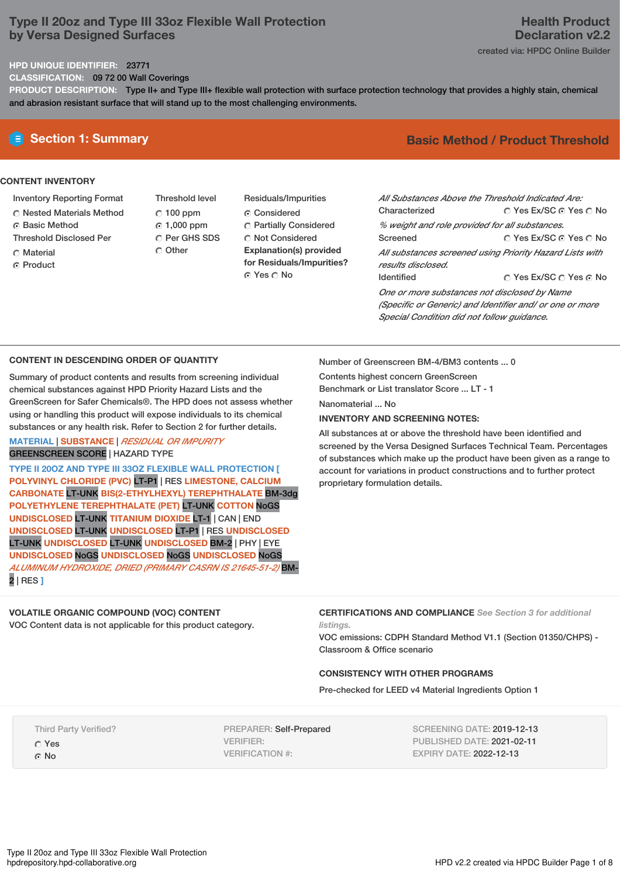# **Type II 20oz and Type III 33oz Flexible Wall Protection by Versa Designed Surfaces**

### **HPD UNIQUE IDENTIFIER:** 23771

**CLASSIFICATION:** 09 72 00 Wall Coverings

**PRODUCT DESCRIPTION:** Type II+ and Type III+ flexible wall protection with surface protection technology that provides a highly stain, chemical and abrasion resistant surface that will stand up to the most challenging environments.

### **CONTENT INVENTORY**

- Inventory Reporting Format
- Nested Materials Method
- ⊙ Basic Method
- Threshold Disclosed Per
- C Material
- **C** Product

Threshold level  $C$  100 ppm 1,000 ppm C Per GHS SDS

Other

Residuals/Impurities Considered Partially Considered Not Considered **Explanation(s) provided for Residuals/Impurities?** © Yes ∩ No

# **E** Section 1: Summary **Basic Method / Product Threshold**

| All Substances Above the Threshold Indicated Are:        |                        |
|----------------------------------------------------------|------------------------|
| Characterized                                            | ○ Yes Ex/SC ⊙ Yes ○ No |
| % weight and role provided for all substances.           |                        |
| Screened                                                 | ○ Yes Ex/SC ⊙ Yes ○ No |
| All substances screened using Priority Hazard Lists with |                        |
| results disclosed.                                       |                        |
| <b>Identified</b>                                        | ∩ Yes Ex/SC ∩ Yes ∩ No |
| One or more substances not disclosed by Name             |                        |
| (Specific or Generic) and Identifier and/ or one or more |                        |
| Special Condition did not follow quidance.               |                        |

### **CONTENT IN DESCENDING ORDER OF QUANTITY**

Summary of product contents and results from screening individual chemical substances against HPD Priority Hazard Lists and the GreenScreen for Safer Chemicals®. The HPD does not assess whether using or handling this product will expose individuals to its chemical substances or any health risk. Refer to Section 2 for further details.

### **MATERIAL** | **SUBSTANCE** | *RESIDUAL OR IMPURITY* GREENSCREEN SCORE | HAZARD TYPE

**TYPE II 20OZ AND TYPE III 33OZ FLEXIBLE WALL PROTECTION [ POLYVINYL CHLORIDE (PVC)** LT-P1 | RES **LIMESTONE, CALCIUM CARBONATE** LT-UNK **BIS(2-ETHYLHEXYL) TEREPHTHALATE** BM-3dg **POLYETHYLENE TEREPHTHALATE (PET)** LT-UNK **COTTON** NoGS **UNDISCLOSED** LT-UNK **TITANIUM DIOXIDE** LT-1 | CAN | END **UNDISCLOSED** LT-UNK **UNDISCLOSED** LT-P1 | RES **UNDISCLOSED** LT-UNK **UNDISCLOSED** LT-UNK **UNDISCLOSED** BM-2 | PHY | EYE **UNDISCLOSED** NoGS **UNDISCLOSED** NoGS **UNDISCLOSED** NoGS *ALUMINUM HYDROXIDE, DRIED (PRIMARY CASRN IS 21645-51-2)* BM- Number of Greenscreen BM-4/BM3 contents ... 0

Contents highest concern GreenScreen

Benchmark or List translator Score ... LT - 1

Nanomaterial ... No

### **INVENTORY AND SCREENING NOTES:**

All substances at or above the threshold have been identified and screened by the Versa Designed Surfaces Technical Team. Percentages of substances which make up the product have been given as a range to account for variations in product constructions and to further protect proprietary formulation details.

## **VOLATILE ORGANIC COMPOUND (VOC) CONTENT**

VOC Content data is not applicable for this product category.

**CERTIFICATIONS AND COMPLIANCE** *See Section 3 for additional listings.*

VOC emissions: CDPH Standard Method V1.1 (Section 01350/CHPS) - Classroom & Office scenario

### **CONSISTENCY WITH OTHER PROGRAMS**

Pre-checked for LEED v4 Material Ingredients Option 1

Third Party Verified?

Yes

2 | RES **]**

⊙ No

PREPARER: Self-Prepared VERIFIER: VERIFICATION #:

SCREENING DATE: 2019-12-13 PUBLISHED DATE: 2021-02-11 EXPIRY DATE: 2022-12-13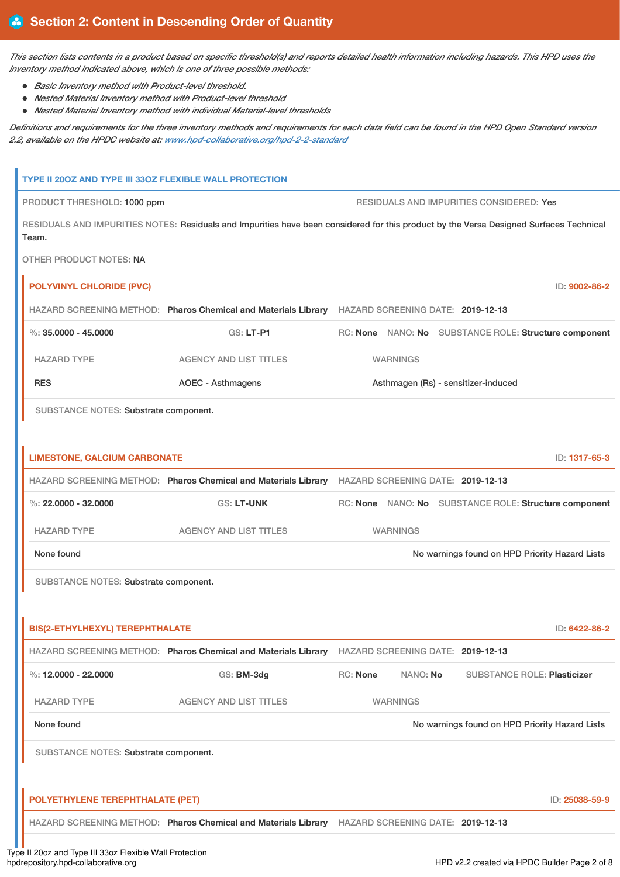*This section lists contents in a product based on specific threshold(s) and reports detailed health information including hazards. This HPD uses the inventory method indicated above, which is one of three possible methods:*

- *Basic Inventory method with Product-level threshold.*
- *Nested Material Inventory method with Product-level threshold*
- *Nested Material Inventory method with individual Material-level thresholds*

*Definitions and requirements for the three inventory methods and requirements for each data field can be found in the HPD Open Standard version 2.2, available on the HPDC website at: [www.hpd-collaborative.org/hpd-2-2-standard](https://www.hpd-collaborative.org/hpd-2-2-standard)*

| TYPE II 200Z AND TYPE III 330Z FLEXIBLE WALL PROTECTION                       |                                                                                                                                         |                      |                                                       |
|-------------------------------------------------------------------------------|-----------------------------------------------------------------------------------------------------------------------------------------|----------------------|-------------------------------------------------------|
| PRODUCT THRESHOLD: 1000 ppm                                                   |                                                                                                                                         |                      | RESIDUALS AND IMPURITIES CONSIDERED: Yes              |
| Team.                                                                         | RESIDUALS AND IMPURITIES NOTES: Residuals and Impurities have been considered for this product by the Versa Designed Surfaces Technical |                      |                                                       |
| OTHER PRODUCT NOTES: NA                                                       |                                                                                                                                         |                      |                                                       |
| <b>POLYVINYL CHLORIDE (PVC)</b>                                               |                                                                                                                                         |                      | ID: 9002-86-2                                         |
|                                                                               | HAZARD SCREENING METHOD: Pharos Chemical and Materials Library HAZARD SCREENING DATE: 2019-12-13                                        |                      |                                                       |
| $\%$ : 35.0000 - 45.0000                                                      | GS: LT-P1                                                                                                                               |                      | RC: None NANO: No SUBSTANCE ROLE: Structure component |
| <b>HAZARD TYPE</b>                                                            | <b>AGENCY AND LIST TITLES</b>                                                                                                           | <b>WARNINGS</b>      |                                                       |
| <b>RES</b><br><b>AOEC - Asthmagens</b><br>Asthmagen (Rs) - sensitizer-induced |                                                                                                                                         |                      |                                                       |
| SUBSTANCE NOTES: Substrate component.                                         |                                                                                                                                         |                      |                                                       |
| <b>LIMESTONE, CALCIUM CARBONATE</b>                                           |                                                                                                                                         |                      | ID: 1317-65-3                                         |
|                                                                               | HAZARD SCREENING METHOD: Pharos Chemical and Materials Library HAZARD SCREENING DATE: 2019-12-13                                        |                      |                                                       |
| %: $22,0000 - 32,0000$                                                        | <b>GS: LT-UNK</b>                                                                                                                       |                      | RC: None NANO: No SUBSTANCE ROLE: Structure component |
| <b>HAZARD TYPE</b>                                                            | <b>AGENCY AND LIST TITLES</b>                                                                                                           | <b>WARNINGS</b>      |                                                       |
| None found                                                                    |                                                                                                                                         |                      | No warnings found on HPD Priority Hazard Lists        |
| SUBSTANCE NOTES: Substrate component.                                         |                                                                                                                                         |                      |                                                       |
| <b>BIS(2-ETHYLHEXYL) TEREPHTHALATE</b>                                        |                                                                                                                                         |                      | ID: 6422-86-2                                         |
|                                                                               | HAZARD SCREENING METHOD: Pharos Chemical and Materials Library HAZARD SCREENING DATE: 2019-12-13                                        |                      |                                                       |
| %: $12,0000 - 22,0000$                                                        | GS: BM-3dg                                                                                                                              | RC: None<br>NANO: No | <b>SUBSTANCE ROLE: Plasticizer</b>                    |
| <b>HAZARD TYPE</b>                                                            | <b>AGENCY AND LIST TITLES</b>                                                                                                           | <b>WARNINGS</b>      |                                                       |
| None found                                                                    |                                                                                                                                         |                      | No warnings found on HPD Priority Hazard Lists        |
| SUBSTANCE NOTES: Substrate component.                                         |                                                                                                                                         |                      |                                                       |
| POLYETHYLENE TEREPHTHALATE (PET)                                              |                                                                                                                                         |                      | ID: 25038-59-9                                        |
|                                                                               | HAZARD SCREENING METHOD: Pharos Chemical and Materials Library HAZARD SCREENING DATE: 2019-12-13                                        |                      |                                                       |
|                                                                               |                                                                                                                                         |                      |                                                       |

Type II 20oz and Type III 33oz Flexible Wall Protection<br>hpdrepository.hpd-collaborative.org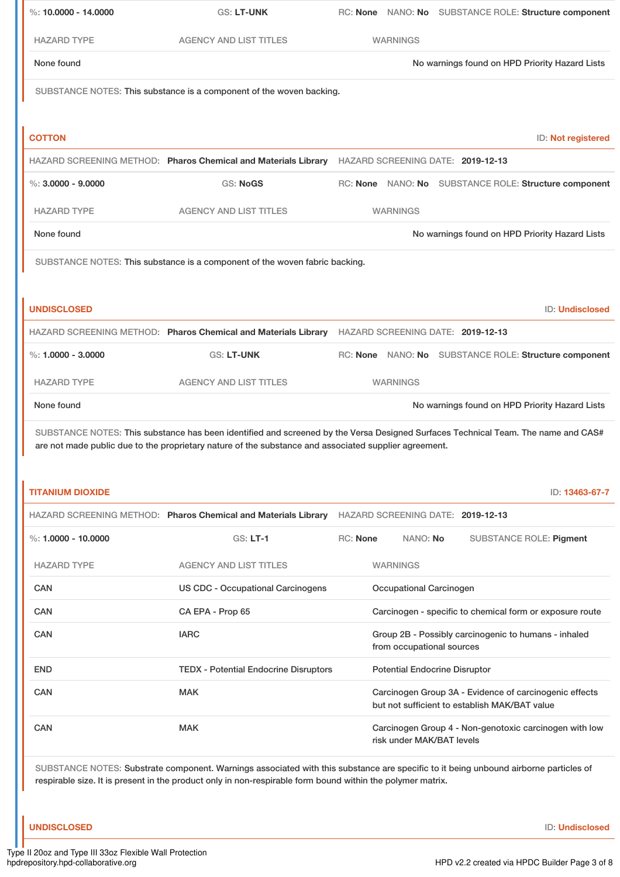| %: $10,0000 - 14,0000$                                                                                                                                                                                                                             | GS: LT-UNK                                                                                            | RC: None NANO: No SUBSTANCE ROLE: Structure component                                                                             |  |  |
|----------------------------------------------------------------------------------------------------------------------------------------------------------------------------------------------------------------------------------------------------|-------------------------------------------------------------------------------------------------------|-----------------------------------------------------------------------------------------------------------------------------------|--|--|
| <b>HAZARD TYPE</b>                                                                                                                                                                                                                                 | <b>AGENCY AND LIST TITLES</b>                                                                         | <b>WARNINGS</b>                                                                                                                   |  |  |
| None found                                                                                                                                                                                                                                         | No warnings found on HPD Priority Hazard Lists                                                        |                                                                                                                                   |  |  |
|                                                                                                                                                                                                                                                    | SUBSTANCE NOTES: This substance is a component of the woven backing.                                  |                                                                                                                                   |  |  |
|                                                                                                                                                                                                                                                    |                                                                                                       |                                                                                                                                   |  |  |
| <b>COTTON</b>                                                                                                                                                                                                                                      |                                                                                                       | ID: Not registered                                                                                                                |  |  |
|                                                                                                                                                                                                                                                    | HAZARD SCREENING METHOD: Pharos Chemical and Materials Library                                        | HAZARD SCREENING DATE: 2019-12-13                                                                                                 |  |  |
| $\%$ : 3.0000 - 9.0000                                                                                                                                                                                                                             | <b>GS: NoGS</b>                                                                                       | RC: None NANO: No SUBSTANCE ROLE: Structure component                                                                             |  |  |
| <b>HAZARD TYPE</b>                                                                                                                                                                                                                                 | <b>AGENCY AND LIST TITLES</b>                                                                         | <b>WARNINGS</b>                                                                                                                   |  |  |
| None found                                                                                                                                                                                                                                         |                                                                                                       | No warnings found on HPD Priority Hazard Lists                                                                                    |  |  |
|                                                                                                                                                                                                                                                    | SUBSTANCE NOTES: This substance is a component of the woven fabric backing.                           |                                                                                                                                   |  |  |
|                                                                                                                                                                                                                                                    |                                                                                                       |                                                                                                                                   |  |  |
| <b>UNDISCLOSED</b>                                                                                                                                                                                                                                 |                                                                                                       | ID: Undisclosed                                                                                                                   |  |  |
|                                                                                                                                                                                                                                                    |                                                                                                       | HAZARD SCREENING METHOD: Pharos Chemical and Materials Library HAZARD SCREENING DATE: 2019-12-13                                  |  |  |
| %: $1.0000 - 3.0000$                                                                                                                                                                                                                               | <b>GS: LT-UNK</b>                                                                                     | RC: None NANO: No SUBSTANCE ROLE: Structure component                                                                             |  |  |
| <b>HAZARD TYPE</b>                                                                                                                                                                                                                                 | <b>AGENCY AND LIST TITLES</b>                                                                         | <b>WARNINGS</b>                                                                                                                   |  |  |
| None found                                                                                                                                                                                                                                         |                                                                                                       | No warnings found on HPD Priority Hazard Lists                                                                                    |  |  |
|                                                                                                                                                                                                                                                    | are not made public due to the proprietary nature of the substance and associated supplier agreement. | SUBSTANCE NOTES: This substance has been identified and screened by the Versa Designed Surfaces Technical Team. The name and CAS# |  |  |
| <b>TITANIUM DIOXIDE</b>                                                                                                                                                                                                                            |                                                                                                       | ID: 13463-67-7                                                                                                                    |  |  |
|                                                                                                                                                                                                                                                    | HAZARD SCREENING METHOD: Pharos Chemical and Materials Library                                        | HAZARD SCREENING DATE: 2019-12-13                                                                                                 |  |  |
| %: $1.0000 - 10.0000$                                                                                                                                                                                                                              | <b>GS: LT-1</b>                                                                                       | <b>RC: None</b><br>NANO: No<br><b>SUBSTANCE ROLE: Pigment</b>                                                                     |  |  |
| <b>HAZARD TYPE</b>                                                                                                                                                                                                                                 | <b>AGENCY AND LIST TITLES</b>                                                                         | <b>WARNINGS</b>                                                                                                                   |  |  |
| <b>CAN</b>                                                                                                                                                                                                                                         | <b>US CDC - Occupational Carcinogens</b>                                                              | <b>Occupational Carcinogen</b>                                                                                                    |  |  |
| <b>CAN</b>                                                                                                                                                                                                                                         | CA EPA - Prop 65                                                                                      | Carcinogen - specific to chemical form or exposure route                                                                          |  |  |
| <b>CAN</b>                                                                                                                                                                                                                                         | <b>IARC</b>                                                                                           | Group 2B - Possibly carcinogenic to humans - inhaled<br>from occupational sources                                                 |  |  |
| <b>END</b>                                                                                                                                                                                                                                         | <b>TEDX - Potential Endocrine Disruptors</b>                                                          | <b>Potential Endocrine Disruptor</b>                                                                                              |  |  |
| <b>CAN</b>                                                                                                                                                                                                                                         | <b>MAK</b>                                                                                            | Carcinogen Group 3A - Evidence of carcinogenic effects<br>but not sufficient to establish MAK/BAT value                           |  |  |
| CAN                                                                                                                                                                                                                                                | <b>MAK</b>                                                                                            | Carcinogen Group 4 - Non-genotoxic carcinogen with low<br>risk under MAK/BAT levels                                               |  |  |
| SUBSTANCE NOTES: Substrate component. Warnings associated with this substance are specific to it being unbound airborne particles of<br>respirable size. It is present in the product only in non-respirable form bound within the polymer matrix. |                                                                                                       |                                                                                                                                   |  |  |

**UNDISCLOSED** ID: **Undisclosed**

- Ir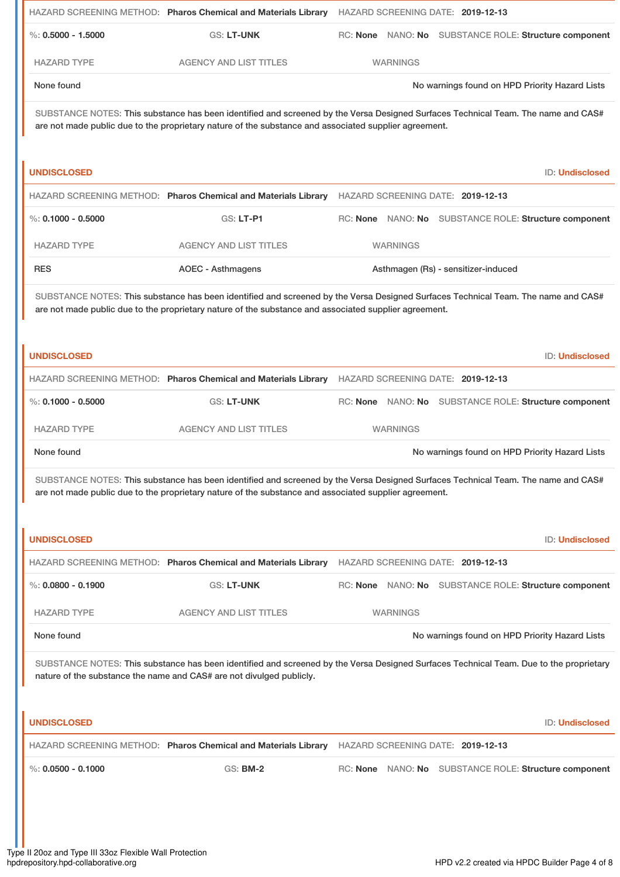|                                                                                                                                                                                                                                            |                                                                                                       | HAZARD SCREENING METHOD: Pharos Chemical and Materials Library HAZARD SCREENING DATE: 2019-12-13                                       |  |  |
|--------------------------------------------------------------------------------------------------------------------------------------------------------------------------------------------------------------------------------------------|-------------------------------------------------------------------------------------------------------|----------------------------------------------------------------------------------------------------------------------------------------|--|--|
| $\%$ : 0.5000 - 1.5000                                                                                                                                                                                                                     | <b>GS: LT-UNK</b>                                                                                     | RC: None NANO: No SUBSTANCE ROLE: Structure component                                                                                  |  |  |
| <b>HAZARD TYPE</b>                                                                                                                                                                                                                         | <b>AGENCY AND LIST TITLES</b>                                                                         | <b>WARNINGS</b>                                                                                                                        |  |  |
| None found                                                                                                                                                                                                                                 |                                                                                                       | No warnings found on HPD Priority Hazard Lists                                                                                         |  |  |
|                                                                                                                                                                                                                                            | are not made public due to the proprietary nature of the substance and associated supplier agreement. | SUBSTANCE NOTES: This substance has been identified and screened by the Versa Designed Surfaces Technical Team. The name and CAS#      |  |  |
| <b>UNDISCLOSED</b>                                                                                                                                                                                                                         |                                                                                                       | <b>ID: Undisclosed</b>                                                                                                                 |  |  |
|                                                                                                                                                                                                                                            | HAZARD SCREENING METHOD: Pharos Chemical and Materials Library                                        | HAZARD SCREENING DATE: 2019-12-13                                                                                                      |  |  |
| $\%$ : 0.1000 - 0.5000                                                                                                                                                                                                                     | GS: LT-P1                                                                                             | RC: None NANO: No SUBSTANCE ROLE: Structure component                                                                                  |  |  |
| <b>HAZARD TYPE</b>                                                                                                                                                                                                                         | <b>AGENCY AND LIST TITLES</b>                                                                         | <b>WARNINGS</b>                                                                                                                        |  |  |
| <b>RES</b>                                                                                                                                                                                                                                 | <b>AOEC - Asthmagens</b>                                                                              | Asthmagen (Rs) - sensitizer-induced                                                                                                    |  |  |
| SUBSTANCE NOTES: This substance has been identified and screened by the Versa Designed Surfaces Technical Team. The name and CAS#<br>are not made public due to the proprietary nature of the substance and associated supplier agreement. |                                                                                                       |                                                                                                                                        |  |  |
| <b>UNDISCLOSED</b>                                                                                                                                                                                                                         |                                                                                                       | <b>ID: Undisclosed</b>                                                                                                                 |  |  |
|                                                                                                                                                                                                                                            | HAZARD SCREENING METHOD: Pharos Chemical and Materials Library                                        | HAZARD SCREENING DATE: 2019-12-13                                                                                                      |  |  |
| $\%$ : 0.1000 - 0.5000                                                                                                                                                                                                                     | <b>GS: LT-UNK</b>                                                                                     | RC: None NANO: No SUBSTANCE ROLE: Structure component                                                                                  |  |  |
| <b>HAZARD TYPE</b>                                                                                                                                                                                                                         | <b>AGENCY AND LIST TITLES</b>                                                                         | <b>WARNINGS</b>                                                                                                                        |  |  |
| None found                                                                                                                                                                                                                                 |                                                                                                       | No warnings found on HPD Priority Hazard Lists                                                                                         |  |  |
| SUBSTANCE NOTES: This substance has been identified and screened by the Versa Designed Surfaces Technical Team. The name and CAS#<br>are not made public due to the proprietary nature of the substance and associated supplier agreement. |                                                                                                       |                                                                                                                                        |  |  |
| <b>UNDISCLOSED</b>                                                                                                                                                                                                                         |                                                                                                       | <b>ID: Undisclosed</b>                                                                                                                 |  |  |
|                                                                                                                                                                                                                                            | HAZARD SCREENING METHOD: Pharos Chemical and Materials Library                                        | HAZARD SCREENING DATE: 2019-12-13                                                                                                      |  |  |
| %: $0.0800 - 0.1900$                                                                                                                                                                                                                       | GS: LT-UNK                                                                                            | RC: None NANO: No SUBSTANCE ROLE: Structure component                                                                                  |  |  |
| <b>HAZARD TYPE</b>                                                                                                                                                                                                                         | <b>AGENCY AND LIST TITLES</b>                                                                         | <b>WARNINGS</b>                                                                                                                        |  |  |
| None found                                                                                                                                                                                                                                 |                                                                                                       | No warnings found on HPD Priority Hazard Lists                                                                                         |  |  |
|                                                                                                                                                                                                                                            | nature of the substance the name and CAS# are not divulged publicly.                                  | SUBSTANCE NOTES: This substance has been identified and screened by the Versa Designed Surfaces Technical Team. Due to the proprietary |  |  |
| <b>UNDISCLOSED</b>                                                                                                                                                                                                                         |                                                                                                       | <b>ID: Undisclosed</b>                                                                                                                 |  |  |
|                                                                                                                                                                                                                                            | HAZARD SCREENING METHOD: Pharos Chemical and Materials Library                                        | HAZARD SCREENING DATE: 2019-12-13                                                                                                      |  |  |
| $\%$ : 0.0500 - 0.1000                                                                                                                                                                                                                     | <b>GS: BM-2</b>                                                                                       | RC: None NANO: No SUBSTANCE ROLE: Structure component                                                                                  |  |  |
|                                                                                                                                                                                                                                            |                                                                                                       |                                                                                                                                        |  |  |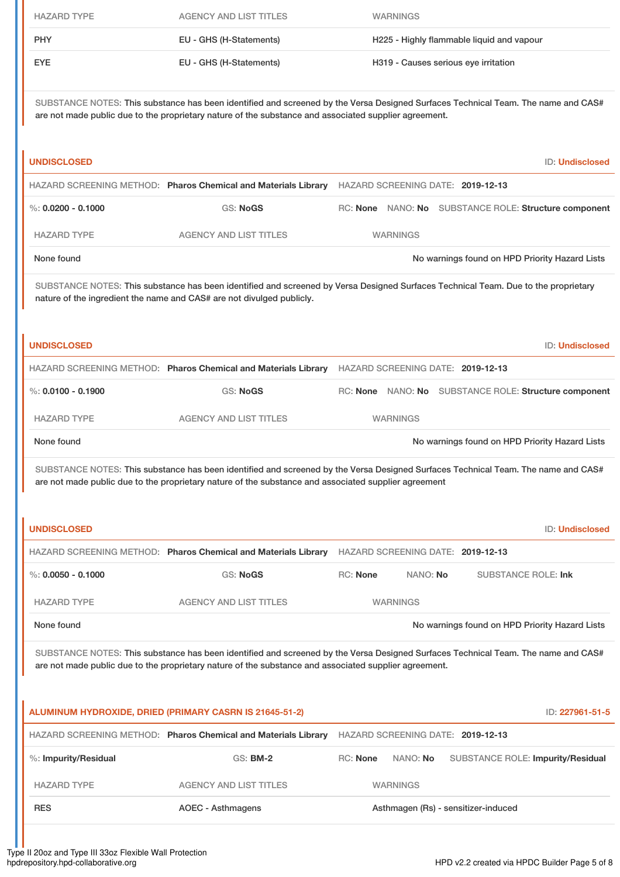|                                                                                                     | <b>HAZARD TYPE</b>                                                                                                                                                                                                                         | <b>AGENCY AND LIST TITLES</b>                                         | <b>WARNINGS</b>                                                                                                                    |                        |  |  |  |  |
|-----------------------------------------------------------------------------------------------------|--------------------------------------------------------------------------------------------------------------------------------------------------------------------------------------------------------------------------------------------|-----------------------------------------------------------------------|------------------------------------------------------------------------------------------------------------------------------------|------------------------|--|--|--|--|
|                                                                                                     | <b>PHY</b>                                                                                                                                                                                                                                 | EU - GHS (H-Statements)                                               | H225 - Highly flammable liquid and vapour                                                                                          |                        |  |  |  |  |
| <b>EYE</b><br>EU - GHS (H-Statements)<br>H319 - Causes serious eye irritation                       |                                                                                                                                                                                                                                            |                                                                       |                                                                                                                                    |                        |  |  |  |  |
|                                                                                                     | SUBSTANCE NOTES: This substance has been identified and screened by the Versa Designed Surfaces Technical Team. The name and CAS#<br>are not made public due to the proprietary nature of the substance and associated supplier agreement. |                                                                       |                                                                                                                                    |                        |  |  |  |  |
|                                                                                                     | <b>UNDISCLOSED</b>                                                                                                                                                                                                                         | ID: Undisclosed                                                       |                                                                                                                                    |                        |  |  |  |  |
| HAZARD SCREENING METHOD: Pharos Chemical and Materials Library<br>HAZARD SCREENING DATE: 2019-12-13 |                                                                                                                                                                                                                                            |                                                                       |                                                                                                                                    |                        |  |  |  |  |
|                                                                                                     |                                                                                                                                                                                                                                            |                                                                       |                                                                                                                                    |                        |  |  |  |  |
|                                                                                                     | $\%$ : 0.0200 - 0.1000                                                                                                                                                                                                                     | <b>GS: NoGS</b>                                                       | RC: None NANO: No SUBSTANCE ROLE: Structure component                                                                              |                        |  |  |  |  |
|                                                                                                     | <b>HAZARD TYPE</b>                                                                                                                                                                                                                         | <b>AGENCY AND LIST TITLES</b>                                         | <b>WARNINGS</b>                                                                                                                    |                        |  |  |  |  |
|                                                                                                     | None found                                                                                                                                                                                                                                 |                                                                       | No warnings found on HPD Priority Hazard Lists                                                                                     |                        |  |  |  |  |
|                                                                                                     |                                                                                                                                                                                                                                            | nature of the ingredient the name and CAS# are not divulged publicly. | SUBSTANCE NOTES: This substance has been identified and screened by Versa Designed Surfaces Technical Team. Due to the proprietary |                        |  |  |  |  |
|                                                                                                     | <b>UNDISCLOSED</b>                                                                                                                                                                                                                         |                                                                       |                                                                                                                                    | <b>ID: Undisclosed</b> |  |  |  |  |

| <b>UNDISCLOSED</b>   |                                                                |                                   |          | <b>ID: Undisclosed</b>                         |
|----------------------|----------------------------------------------------------------|-----------------------------------|----------|------------------------------------------------|
|                      | HAZARD SCREENING METHOD: Pharos Chemical and Materials Library | HAZARD SCREENING DATE: 2019-12-13 |          |                                                |
| %: $0.0050 - 0.1000$ | GS: NoGS                                                       | <b>RC:</b> None                   | NANO: No | SUBSTANCE ROLE: Ink                            |
| <b>HAZARD TYPE</b>   | <b>AGENCY AND LIST TITLES</b>                                  | <b>WARNINGS</b>                   |          |                                                |
| None found           |                                                                |                                   |          | No warnings found on HPD Priority Hazard Lists |

%: **0.0100 - 0.1900** GS: **NoGS** RC: **None** NANO: **No** SUBSTANCE ROLE: **Structure component**

None found Now arrings found on HPD Priority Hazard Lists

SUBSTANCE NOTES: This substance has been identified and screened by the Versa Designed Surfaces Technical Team. The name and CAS#

HAZARD SCREENING METHOD: **Pharos Chemical and Materials Library** HAZARD SCREENING DATE: **2019-12-13**

HAZARD TYPE **AGENCY AND LIST TITLES** WARNINGS

are not made public due to the proprietary nature of the substance and associated supplier agreement

SUBSTANCE NOTES: This substance has been identified and screened by the Versa Designed Surfaces Technical Team. The name and CAS# are not made public due to the proprietary nature of the substance and associated supplier agreement.

| ALUMINUM HYDROXIDE, DRIED (PRIMARY CASRN IS 21645-51-2) |                                                                |                 |                 | ID: 227961-51-5                          |
|---------------------------------------------------------|----------------------------------------------------------------|-----------------|-----------------|------------------------------------------|
|                                                         | HAZARD SCREENING METHOD: Pharos Chemical and Materials Library |                 |                 | HAZARD SCREENING DATE: 2019-12-13        |
| $%$ : Impurity/Residual                                 | $GS:$ BM-2                                                     | <b>RC:</b> None | NANO: No        | <b>SUBSTANCE ROLE: Impurity/Residual</b> |
| <b>HAZARD TYPE</b>                                      | <b>AGENCY AND LIST TITLES</b>                                  |                 | <b>WARNINGS</b> |                                          |
| <b>RES</b>                                              | AOEC - Asthmagens                                              |                 |                 | Asthmagen (Rs) - sensitizer-induced      |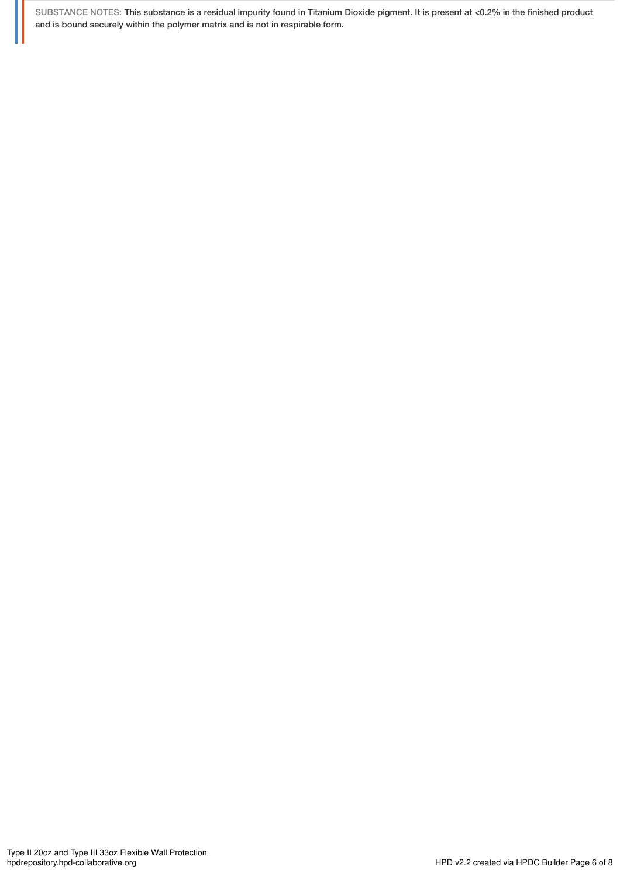SUBSTANCE NOTES: This substance is a residual impurity found in Titanium Dioxide pigment. It is present at <0.2% in the finished product and is bound securely within the polymer matrix and is not in respirable form.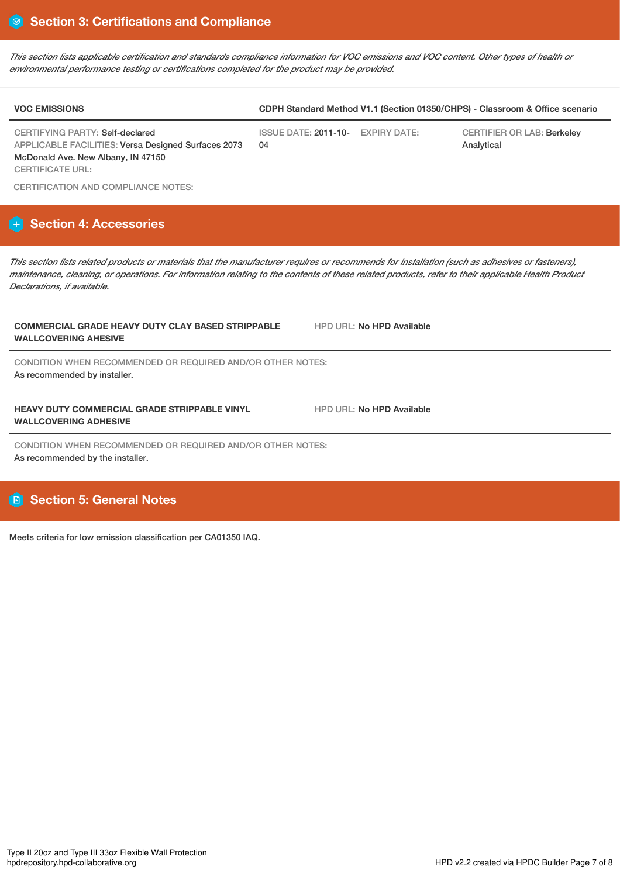*This section lists applicable certification and standards compliance information for VOC emissions and VOC content. Other types of health or environmental performance testing or certifications completed for the product may be provided.*

| <b>VOC EMISSIONS</b>                                                                   | CDPH Standard Method V1.1 (Section 01350/CHPS) - Classroom & Office scenario |  |                                                 |  |
|----------------------------------------------------------------------------------------|------------------------------------------------------------------------------|--|-------------------------------------------------|--|
| CERTIFYING PARTY: Self-declared<br>APPLICABLE FACILITIES: Versa Designed Surfaces 2073 | ISSUE DATE: 2011-10- EXPIRY DATE:<br>04                                      |  | <b>CERTIFIER OR LAB: Berkeley</b><br>Analytical |  |
| McDonald Ave. New Albany, IN 47150<br>CERTIFICATE URL:                                 |                                                                              |  |                                                 |  |

CERTIFICATION AND COMPLIANCE NOTES:

# **Section 4: Accessories**

*This section lists related products or materials that the manufacturer requires or recommends for installation (such as adhesives or fasteners), maintenance, cleaning, or operations. For information relating to the contents of these related products, refer to their applicable Health Product Declarations, if available.*

### **COMMERCIAL GRADE HEAVY DUTY CLAY BASED STRIPPABLE WALLCOVERING AHESIVE**

CONDITION WHEN RECOMMENDED OR REQUIRED AND/OR OTHER NOTES: As recommended by installer.

### **HEAVY DUTY COMMERCIAL GRADE STRIPPABLE VINYL WALLCOVERING ADHESIVE**

CONDITION WHEN RECOMMENDED OR REQUIRED AND/OR OTHER NOTES: As recommended by the installer.

# **Section 5: General Notes**

Meets criteria for low emission classification per CA01350 IAQ.

HPD URL: **No HPD Available**

HPD URL: **No HPD Available**